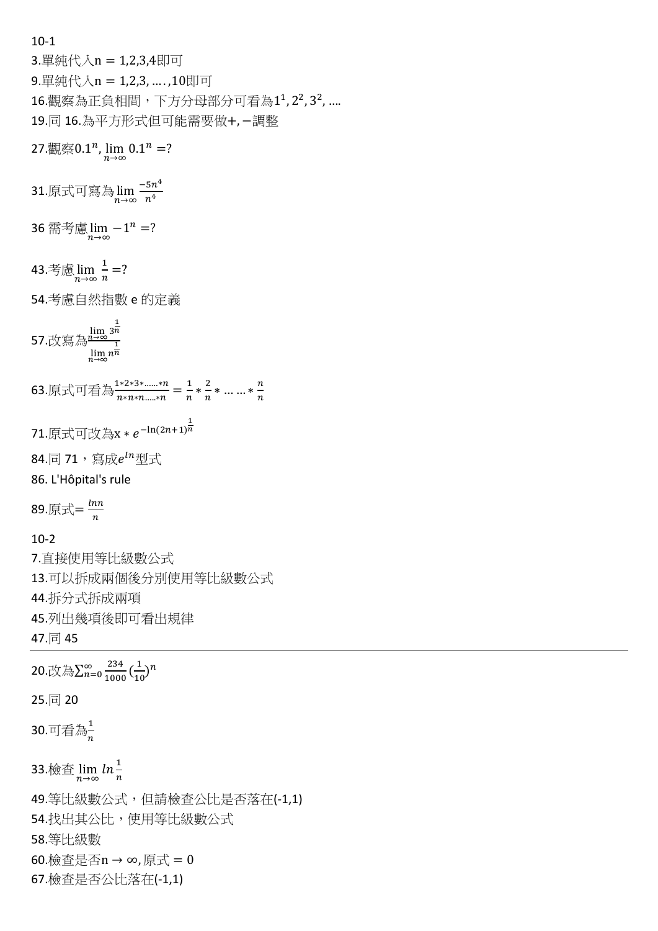10-1

3.單純代入n = 1,2,3,4即可 9.單純代入n = 1,2,3, … . ,10即可 16.觀察為正負相間,下方分母部分可看為1<sup>1</sup>,2<sup>2</sup>,3<sup>2</sup>,.... 19.同 16.為平方形式但可能需要做+, −調整

27.觀察 $0.1^n$ ,  $\lim_{n\to\infty} 0.1^n = ?$ 

31.原式可寫為 $\lim\limits_{n\to\infty}\frac{-5n^4}{n^4}$  $n<sup>4</sup>$ 

36 需考慮  $\lim_{n\to\infty} -1^n = ?$ 

43. 
$$
\frac{4}{n} \lim_{n \to \infty} \frac{1}{n} = ?
$$

54.考慮自然指數 e 的定義

– lim 3<sup>n</sup><br>57.改寫為<sup>n→∞</sup> 1  $\lim_{n\to\infty}n^{\frac{1}{n}}$ 

63.原式可看為 $\frac{1*2*3*......*n}{n* n* n......*n}=\frac{1}{n}$  $\frac{1}{n} * \frac{2}{n}$  $\frac{2}{n} * \dots * \frac{n}{n}$  $\boldsymbol{n}$ 

```
71.原式可改為x * e<sup>-ln(2n+1)</sub>\frac{1}{n}</sup>
```
84.同 71,寫成 $e^{\ln}$ 型式

86. L'Hôpital's rule

89.原式= $\frac{ln n}{n}$  $\boldsymbol{n}$ 

10-2

7.直接使用等比級數公式 13.可以拆成兩個後分別使用等比級數公式 44.拆分式拆成兩項 45.列出幾項後即可看出規律 47.同 45

20.改為 $\sum_{n=0}^{\infty} \frac{234}{1000}$ 1000  $\frac{\infty}{n=0} \frac{234}{1000} \left( \frac{1}{100} \right)$  $\frac{1}{10}$ <sup>n</sup> 25.同 20 30.可看為 $\frac{1}{n}$ 33.檢查  $\lim_{n\to\infty} \ln\frac{1}{n}$ 49.等比級數公式,但請檢查公比是否落在(-1,1) 54.找出其公比,使用等比級數公式 58.等比級數 60.檢查是否n → ∞,原式 = 0 67.檢查是否公比落在(-1,1)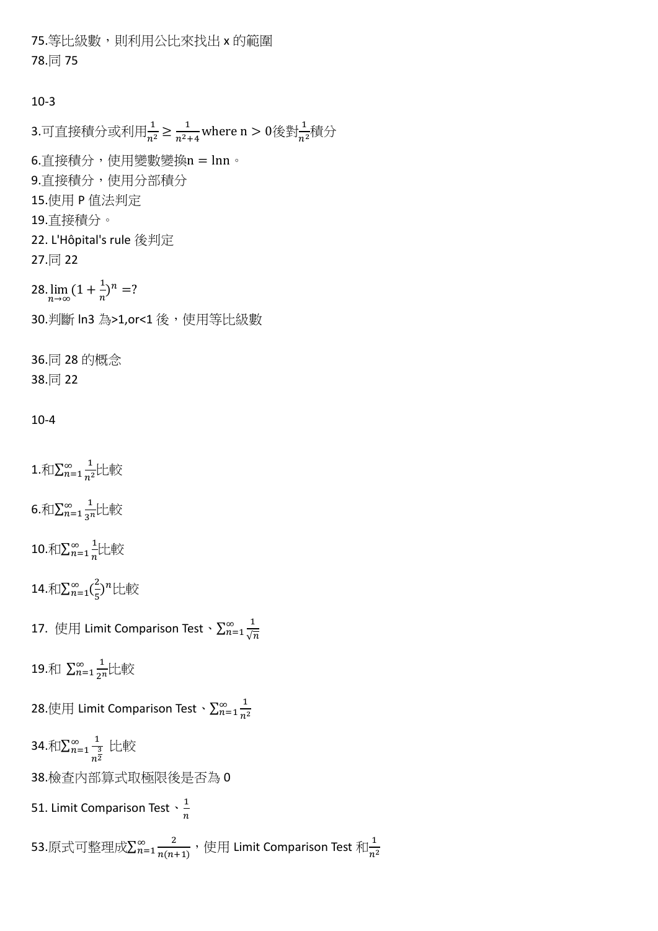75.等比級數,則利用公比來找出 x 的範圍 78.同 75

## 10-3

3.可直接積分或利用 $\frac{1}{n^2}$   $\geq \frac{1}{n^2}$ .  $\frac{1}{n^2+4}$  where n  $>0$ 後對 $\frac{1}{n^2}$ 積分 6.直接積分,使用變數變換n = lnn。 9.直接積分,使用分部積分 15.使用 P 值法判定 19.直接積分。 22. L'Hôpital's rule 後判定 27.同 22 28. $\lim_{n\to\infty}$  (1 +  $\frac{1}{n}$  $\frac{1}{n}$ )<sup>n</sup> =? 30.判斷 ln3 為>1,or<1 後,使用等比級數 36.同 28 的概念 38.同 22

### 10-4

1. $\widehat{\pi}$  $\sum_{n=1}^{\infty} \frac{1}{n^2}$  $n^2$ ∞  $\frac{1}{n^2}$ 比較 6.和 $\sum_{n=1}^{\infty} \frac{1}{n^2}$  $\sum_{n=1}^{\infty} \frac{1}{3^n}$ 比較 10. $\bar{x} \mathbb{I}\sum_{n=1}^{\infty} \frac{1}{n}$  $\boldsymbol{n}$ ∞  $\frac{1}{n}$ 比較 14. $\bar{x} \in \sum_{n=1}^{\infty} (\frac{2}{n})$  $\sum_{n=1}^{\infty} \left(\frac{2}{5}\right)^n$ 比較 17. 使用 Limit Comparison Test、 $\sum_{n=1}^{\infty} \frac{1}{6}$ 19.和  $\sum_{n=1}^{\infty} \frac{1}{n!}$  $\sum_{n=1}^{\infty} \frac{1}{2^n}$ 比較

28.使用 Limit Comparison Test、 $\sum_{n=1}^{\infty} \frac{1}{n^2}$  $n<sup>2</sup>$  $_{n=1}^{\infty}$ 

34. $\tilde\pi$ I $\sum_{n=1}^\infty \frac{1}{n}$  $\frac{3}{n^2}$  $\frac{\infty}{n=1}$  ,上較

38.檢查內部算式取極限後是否為 0

51. Limit Comparison Test  $\cdot \frac{1}{n}$  $\boldsymbol{n}$ 

53.原式可整理成 $\sum_{n=1}^{\infty} \frac{2}{n(n)}$  $n(n+1)$  $\frac{\infty}{n=1} \frac{2}{n(n+1)}$ , 使用 Limit Comparison Test 和 $\frac{1}{n}$  $n<sup>2</sup>$ 

 $\sqrt{n}$  $_{n=1}^{\infty}$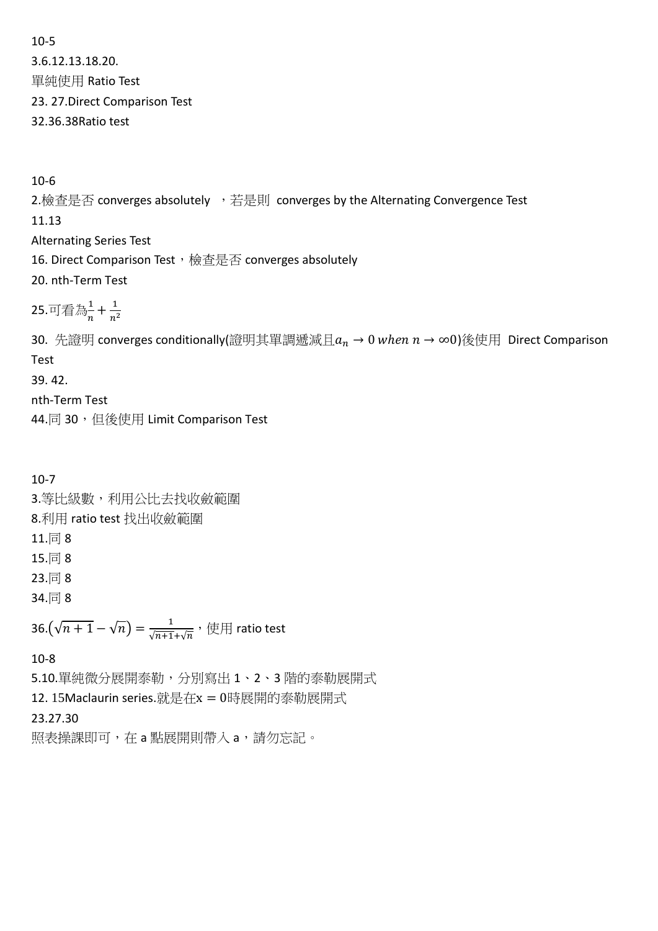10-5 3.6.12.13.18.20. 單純使用 Ratio Test 23. 27.Direct Comparison Test 32.36.38Ratio test

10-6

2.檢查是否 converges absolutely ,若是則 converges by the Alternating Convergence Test 11.13 Alternating Series Test 16. Direct Comparison Test, 檢查是否 converges absolutely 20. nth-Term Test

25.可看為 $\frac{1}{n} + \frac{1}{n^2}$  $n^2$ 

30. 先證明 converges conditionally(證明其單調遞減且 $a_n \to 0$  when  $n \to \infty$ 0)後使用 Direct Comparison Test

39. 42.

nth-Term Test

44.同 30, 但後使用 Limit Comparison Test

10-7 3.等比級數,利用公比去找收斂範圍 8.利用 ratio test 找出收斂範圍 11.同 8 15.同 8 23.同 8 34.同 8

36. $(\sqrt{n+1} - \sqrt{n}) = \frac{1}{\sqrt{n+1} + \sqrt{n}}$ , 使用 ratio test

10-8

5.10.單純微分展開泰勒,分別寫出 1、2、3 階的泰勒展開式

12. 15Maclaurin series.就是在x = 0時展開的泰勒展開式

23.27.30

照表操課即可,在 a 點展開則帶入 a,請勿忘記。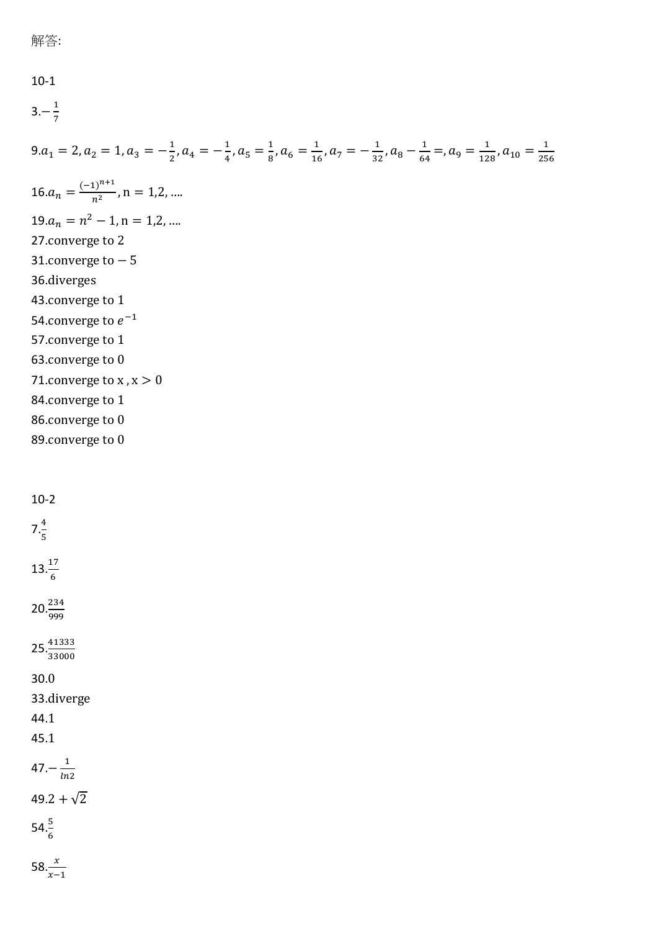```
10-1
3. - \frac{1}{7}7
9.a_1 = 2, a_2 = 1, a_3 = -\frac{1}{2}\frac{1}{2}, a_4 = -\frac{1}{4}\frac{1}{4}, a_5 = \frac{1}{8}\frac{1}{8}, a_6 = \frac{1}{16}\frac{1}{16}, a_7 = -\frac{1}{32}\frac{1}{32}, a_8 - \frac{1}{64}\frac{1}{64} =, a_9 = \frac{1}{12}\frac{1}{128}, a_{10} = \frac{1}{25}256
16.a_n = \frac{(-1)^{n+1}}{n^2}\frac{1}{n^2}, n = 1,2, ...
19.a_n = n^2 - 1, n = 1,2, ...27.converge to 2
31.converge to -536.diverges
43.converge to 1
54.converge to e^{-1}57.converge to 1
63.converge to 0
71. converge to x, x > 084.converge to 1
86.converge to 0
89.converge to 0
```
10-2  $7.\frac{4}{5}$  $13.\frac{17}{6}$  $20.\frac{234}{999}$  $25.\frac{41333}{33000}$ 30.0 33.diverge 44.1 45.1 47. $-\frac{1}{ln}$  $ln2$  $49.2 + \sqrt{2}$ 

 $54.\frac{5}{6}$ 

58. $\frac{x}{x-1}$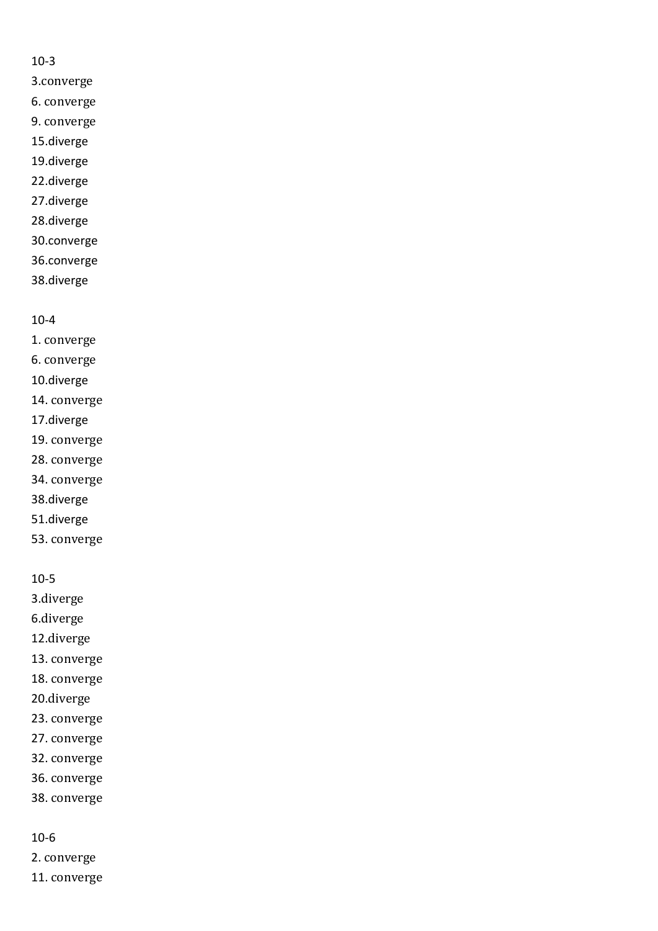#### 10-3

- 3.converge
- 6. converge
- 9. converge
- 15.diverge
- 19.diverge
- 22.diverge
- 27.diverge
- 28.diverge
- 30.converge
- 36.converge
- 38.diverge

## 10-4

- 1. converge
- 6. converge
- 10.diverge
- 14. converge
- 17.diverge
- 19. converge
- 28. converge
- 34. converge
- 38.diverge
- 51.diverge
- 53. converge

## 10-5

- 3.diverge
- 6.diverge
- 12.diverge
- 13. converge
- 18. converge
- 20.diverge
- 23. converge
- 27. converge
- 32. converge
- 36. converge
- 38. converge

#### 10-6

- 2. converge
- 11. converge